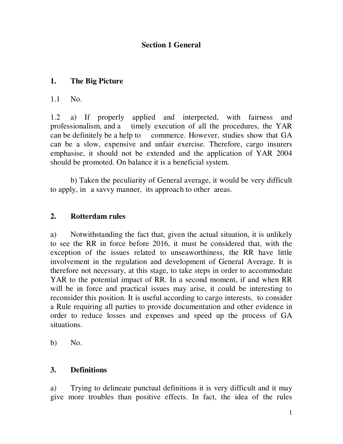## **Section 1 General**

## **1. The Big Picture**

1.1 No.

1.2 a) If properly applied and interpreted, with fairness and professionalism, and a timely execution of all the procedures, the YAR can be definitely be a help to commerce. However, studies show that GA can be a slow, expensive and unfair exercise. Therefore, cargo insurers emphasise, it should not be extended and the application of YAR 2004 should be promoted. On balance it is a beneficial system.

 b) Taken the peculiarity of General average, it would be very difficult to apply, in a savvy manner, its approach to other areas.

## **2. Rotterdam rules**

a) Notwithstanding the fact that, given the actual situation, it is unlikely to see the RR in force before 2016, it must be considered that, with the exception of the issues related to unseaworthiness, the RR have little involvement in the regulation and development of General Average. It is therefore not necessary, at this stage, to take steps in order to accommodate YAR to the potential impact of RR. In a second moment, if and when RR will be in force and practical issues may arise, it could be interesting to reconsider this position. It is useful according to cargo interests, to consider a Rule requiring all parties to provide documentation and other evidence in order to reduce losses and expenses and speed up the process of GA situations.

 $b)$  No.

### **3. Definitions**

a) Trying to delineate punctual definitions it is very difficult and it may give more troubles than positive effects. In fact, the idea of the rules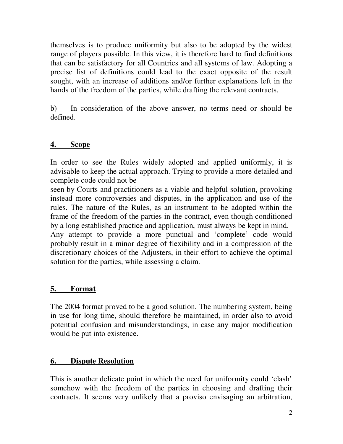themselves is to produce uniformity but also to be adopted by the widest range of players possible. In this view, it is therefore hard to find definitions that can be satisfactory for all Countries and all systems of law. Adopting a precise list of definitions could lead to the exact opposite of the result sought, with an increase of additions and/or further explanations left in the hands of the freedom of the parties, while drafting the relevant contracts.

b) In consideration of the above answer, no terms need or should be defined.

## **4. Scope**

In order to see the Rules widely adopted and applied uniformly, it is advisable to keep the actual approach. Trying to provide a more detailed and complete code could not be

seen by Courts and practitioners as a viable and helpful solution, provoking instead more controversies and disputes, in the application and use of the rules. The nature of the Rules, as an instrument to be adopted within the frame of the freedom of the parties in the contract, even though conditioned by a long established practice and application, must always be kept in mind.

Any attempt to provide a more punctual and 'complete' code would probably result in a minor degree of flexibility and in a compression of the discretionary choices of the Adjusters, in their effort to achieve the optimal solution for the parties, while assessing a claim.

## **5. Format**

The 2004 format proved to be a good solution. The numbering system, being in use for long time, should therefore be maintained, in order also to avoid potential confusion and misunderstandings, in case any major modification would be put into existence.

### **6. Dispute Resolution**

This is another delicate point in which the need for uniformity could 'clash' somehow with the freedom of the parties in choosing and drafting their contracts. It seems very unlikely that a proviso envisaging an arbitration,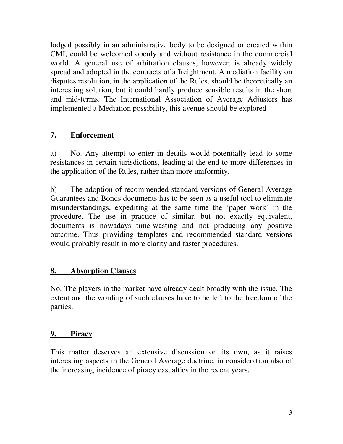lodged possibly in an administrative body to be designed or created within CMI, could be welcomed openly and without resistance in the commercial world. A general use of arbitration clauses, however, is already widely spread and adopted in the contracts of affreightment. A mediation facility on disputes resolution, in the application of the Rules, should be theoretically an interesting solution, but it could hardly produce sensible results in the short and mid-terms. The International Association of Average Adjusters has implemented a Mediation possibility, this avenue should be explored

# **7. Enforcement**

a) No. Any attempt to enter in details would potentially lead to some resistances in certain jurisdictions, leading at the end to more differences in the application of the Rules, rather than more uniformity.

b) The adoption of recommended standard versions of General Average Guarantees and Bonds documents has to be seen as a useful tool to eliminate misunderstandings, expediting at the same time the 'paper work' in the procedure. The use in practice of similar, but not exactly equivalent, documents is nowadays time-wasting and not producing any positive outcome. Thus providing templates and recommended standard versions would probably result in more clarity and faster procedures.

## **8. Absorption Clauses**

No. The players in the market have already dealt broadly with the issue. The extent and the wording of such clauses have to be left to the freedom of the parties.

## **9. Piracy**

This matter deserves an extensive discussion on its own, as it raises interesting aspects in the General Average doctrine, in consideration also of the increasing incidence of piracy casualties in the recent years.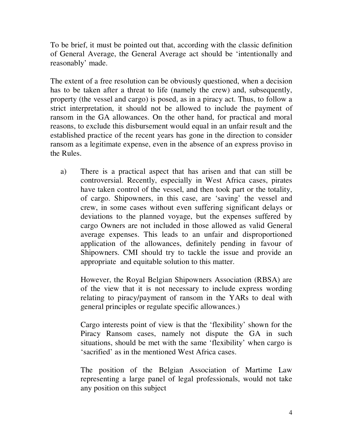To be brief, it must be pointed out that, according with the classic definition of General Average, the General Average act should be 'intentionally and reasonably' made.

The extent of a free resolution can be obviously questioned, when a decision has to be taken after a threat to life (namely the crew) and, subsequently, property (the vessel and cargo) is posed, as in a piracy act. Thus, to follow a strict interpretation, it should not be allowed to include the payment of ransom in the GA allowances. On the other hand, for practical and moral reasons, to exclude this disbursement would equal in an unfair result and the established practice of the recent years has gone in the direction to consider ransom as a legitimate expense, even in the absence of an express proviso in the Rules.

a) There is a practical aspect that has arisen and that can still be controversial. Recently, especially in West Africa cases, pirates have taken control of the vessel, and then took part or the totality, of cargo. Shipowners, in this case, are 'saving' the vessel and crew, in some cases without even suffering significant delays or deviations to the planned voyage, but the expenses suffered by cargo Owners are not included in those allowed as valid General average expenses. This leads to an unfair and disproportioned application of the allowances, definitely pending in favour of Shipowners. CMI should try to tackle the issue and provide an appropriate and equitable solution to this matter.

However, the Royal Belgian Shipowners Association (RBSA) are of the view that it is not necessary to include express wording relating to piracy/payment of ransom in the YARs to deal with general principles or regulate specific allowances.)

Cargo interests point of view is that the 'flexibility' shown for the Piracy Ransom cases, namely not dispute the GA in such situations, should be met with the same 'flexibility' when cargo is 'sacrified' as in the mentioned West Africa cases.

The position of the Belgian Association of Martime Law representing a large panel of legal professionals, would not take any position on this subject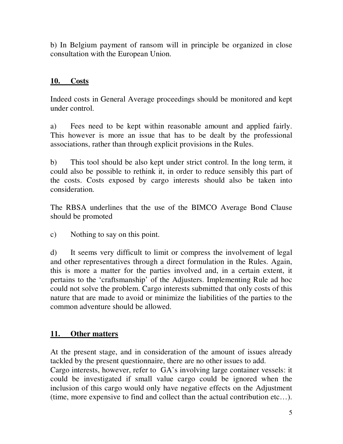b) In Belgium payment of ransom will in principle be organized in close consultation with the European Union.

### **10. Costs**

Indeed costs in General Average proceedings should be monitored and kept under control.

a) Fees need to be kept within reasonable amount and applied fairly. This however is more an issue that has to be dealt by the professional associations, rather than through explicit provisions in the Rules.

b) This tool should be also kept under strict control. In the long term, it could also be possible to rethink it, in order to reduce sensibly this part of the costs. Costs exposed by cargo interests should also be taken into consideration.

The RBSA underlines that the use of the BIMCO Average Bond Clause should be promoted

c) Nothing to say on this point.

d) It seems very difficult to limit or compress the involvement of legal and other representatives through a direct formulation in the Rules. Again, this is more a matter for the parties involved and, in a certain extent, it pertains to the 'craftsmanship' of the Adjusters. Implementing Rule ad hoc could not solve the problem. Cargo interests submitted that only costs of this nature that are made to avoid or minimize the liabilities of the parties to the common adventure should be allowed.

## **11. Other matters**

At the present stage, and in consideration of the amount of issues already tackled by the present questionnaire, there are no other issues to add.

Cargo interests, however, refer to GA's involving large container vessels: it could be investigated if small value cargo could be ignored when the inclusion of this cargo would only have negative effects on the Adjustment (time, more expensive to find and collect than the actual contribution etc…).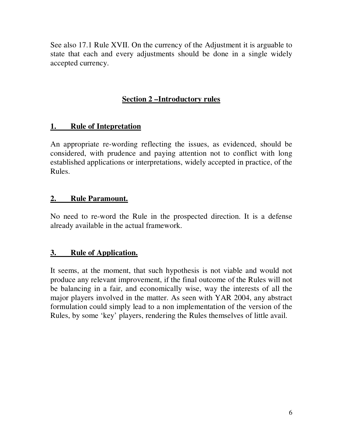See also 17.1 Rule XVII. On the currency of the Adjustment it is arguable to state that each and every adjustments should be done in a single widely accepted currency.

# **Section 2 –Introductory rules**

# **1. Rule of Intepretation**

An appropriate re-wording reflecting the issues, as evidenced, should be considered, with prudence and paying attention not to conflict with long established applications or interpretations, widely accepted in practice, of the Rules.

# **2. Rule Paramount.**

No need to re-word the Rule in the prospected direction. It is a defense already available in the actual framework.

# **3. Rule of Application.**

It seems, at the moment, that such hypothesis is not viable and would not produce any relevant improvement, if the final outcome of the Rules will not be balancing in a fair, and economically wise, way the interests of all the major players involved in the matter. As seen with YAR 2004, any abstract formulation could simply lead to a non implementation of the version of the Rules, by some 'key' players, rendering the Rules themselves of little avail.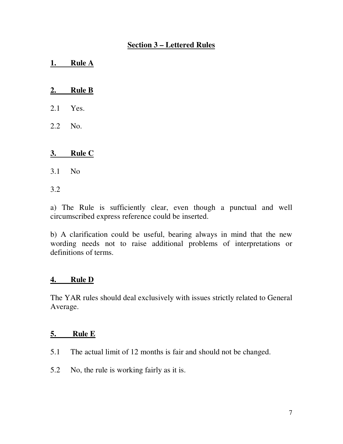### **Section 3 – Lettered Rules**

**1. Rule A** 

### **2. Rule B**

- 2.1 Yes.
- 2.2 No.

### **3. Rule C**

3.1 No

3.2

a) The Rule is sufficiently clear, even though a punctual and well circumscribed express reference could be inserted.

b) A clarification could be useful, bearing always in mind that the new wording needs not to raise additional problems of interpretations or definitions of terms.

### **4. Rule D**

The YAR rules should deal exclusively with issues strictly related to General Average.

#### **5. Rule E**

- 5.1 The actual limit of 12 months is fair and should not be changed.
- 5.2 No, the rule is working fairly as it is.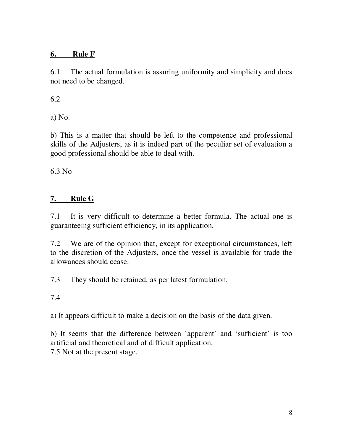# **6. Rule F**

6.1 The actual formulation is assuring uniformity and simplicity and does not need to be changed.

6.2

a) No.

b) This is a matter that should be left to the competence and professional skills of the Adjusters, as it is indeed part of the peculiar set of evaluation a good professional should be able to deal with.

6.3 No

# **7. Rule G**

7.1 It is very difficult to determine a better formula. The actual one is guaranteeing sufficient efficiency, in its application.

7.2 We are of the opinion that, except for exceptional circumstances, left to the discretion of the Adjusters, once the vessel is available for trade the allowances should cease.

7.3 They should be retained, as per latest formulation.

7.4

a) It appears difficult to make a decision on the basis of the data given.

b) It seems that the difference between 'apparent' and 'sufficient' is too artificial and theoretical and of difficult application. 7.5 Not at the present stage.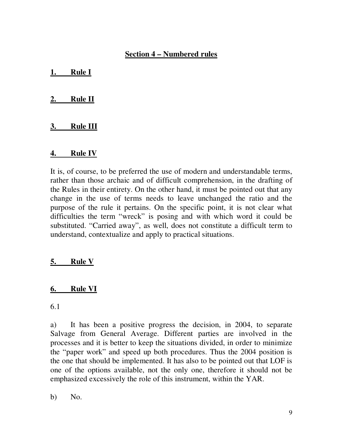### **Section 4 – Numbered rules**

**1. Rule I** 

### **2. Rule II**

### **3. Rule III**

#### **4. Rule IV**

It is, of course, to be preferred the use of modern and understandable terms, rather than those archaic and of difficult comprehension, in the drafting of the Rules in their entirety. On the other hand, it must be pointed out that any change in the use of terms needs to leave unchanged the ratio and the purpose of the rule it pertains. On the specific point, it is not clear what difficulties the term "wreck" is posing and with which word it could be substituted. "Carried away", as well, does not constitute a difficult term to understand, contextualize and apply to practical situations.

## **5. Rule V**

### **6. Rule VI**

6.1

a) It has been a positive progress the decision, in 2004, to separate Salvage from General Average. Different parties are involved in the processes and it is better to keep the situations divided, in order to minimize the "paper work" and speed up both procedures. Thus the 2004 position is the one that should be implemented. It has also to be pointed out that LOF is one of the options available, not the only one, therefore it should not be emphasized excessively the role of this instrument, within the YAR.

b) No.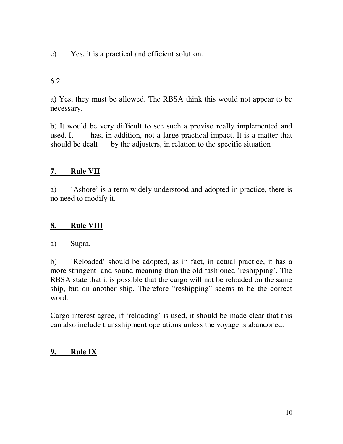c) Yes, it is a practical and efficient solution.

### 6.2

a) Yes, they must be allowed. The RBSA think this would not appear to be necessary.

b) It would be very difficult to see such a proviso really implemented and used. It has, in addition, not a large practical impact. It is a matter that should be dealt by the adjusters, in relation to the specific situation

## **7. Rule VII**

a) 'Ashore' is a term widely understood and adopted in practice, there is no need to modify it.

## **8. Rule VIII**

a) Supra.

b) 'Reloaded' should be adopted, as in fact, in actual practice, it has a more stringent and sound meaning than the old fashioned 'reshipping'. The RBSA state that it is possible that the cargo will not be reloaded on the same ship, but on another ship. Therefore "reshipping" seems to be the correct word.

Cargo interest agree, if 'reloading' is used, it should be made clear that this can also include transshipment operations unless the voyage is abandoned.

# **9. Rule IX**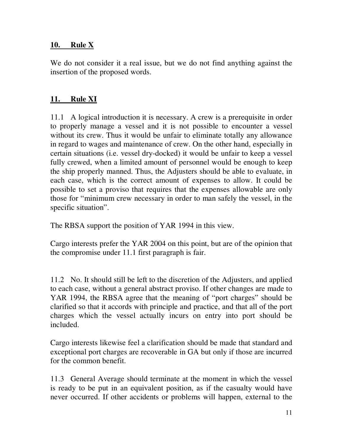### **10. Rule X**

We do not consider it a real issue, but we do not find anything against the insertion of the proposed words.

## **11. Rule XI**

11.1 A logical introduction it is necessary. A crew is a prerequisite in order to properly manage a vessel and it is not possible to encounter a vessel without its crew. Thus it would be unfair to eliminate totally any allowance in regard to wages and maintenance of crew. On the other hand, especially in certain situations (i.e. vessel dry-docked) it would be unfair to keep a vessel fully crewed, when a limited amount of personnel would be enough to keep the ship properly manned. Thus, the Adjusters should be able to evaluate, in each case, which is the correct amount of expenses to allow. It could be possible to set a proviso that requires that the expenses allowable are only those for "minimum crew necessary in order to man safely the vessel, in the specific situation".

The RBSA support the position of YAR 1994 in this view.

Cargo interests prefer the YAR 2004 on this point, but are of the opinion that the compromise under 11.1 first paragraph is fair.

11.2 No. It should still be left to the discretion of the Adjusters, and applied to each case, without a general abstract proviso. If other changes are made to YAR 1994, the RBSA agree that the meaning of "port charges" should be clarified so that it accords with principle and practice, and that all of the port charges which the vessel actually incurs on entry into port should be included.

Cargo interests likewise feel a clarification should be made that standard and exceptional port charges are recoverable in GA but only if those are incurred for the common benefit.

11.3 General Average should terminate at the moment in which the vessel is ready to be put in an equivalent position, as if the casualty would have never occurred. If other accidents or problems will happen, external to the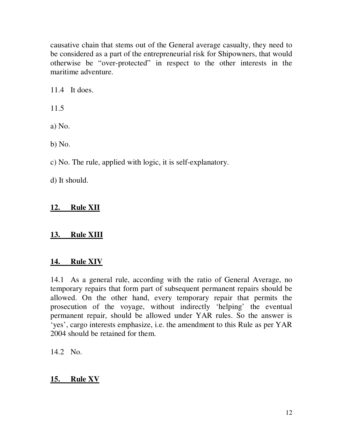causative chain that stems out of the General average casualty, they need to be considered as a part of the entrepreneurial risk for Shipowners, that would otherwise be "over-protected" in respect to the other interests in the maritime adventure.

11.4 It does.

11.5

a) No.

b) No.

c) No. The rule, applied with logic, it is self-explanatory.

d) It should.

# **12. Rule XII**

# **13. Rule XIII**

# **14. Rule XIV**

14.1 As a general rule, according with the ratio of General Average, no temporary repairs that form part of subsequent permanent repairs should be allowed. On the other hand, every temporary repair that permits the prosecution of the voyage, without indirectly 'helping' the eventual permanent repair, should be allowed under YAR rules. So the answer is 'yes', cargo interests emphasize, i.e. the amendment to this Rule as per YAR 2004 should be retained for them.

14.2 No.

# **15. Rule XV**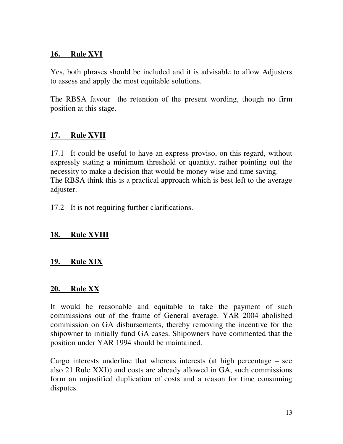### **16. Rule XVI**

Yes, both phrases should be included and it is advisable to allow Adjusters to assess and apply the most equitable solutions.

The RBSA favour the retention of the present wording, though no firm position at this stage.

# **17. Rule XVII**

17.1 It could be useful to have an express proviso, on this regard, without expressly stating a minimum threshold or quantity, rather pointing out the necessity to make a decision that would be money-wise and time saving. The RBSA think this is a practical approach which is best left to the average adjuster.

17.2 It is not requiring further clarifications.

## **18. Rule XVIII**

### **19. Rule XIX**

#### **20. Rule XX**

It would be reasonable and equitable to take the payment of such commissions out of the frame of General average. YAR 2004 abolished commission on GA disbursements, thereby removing the incentive for the shipowner to initially fund GA cases. Shipowners have commented that the position under YAR 1994 should be maintained.

Cargo interests underline that whereas interests (at high percentage – see also 21 Rule XXI)) and costs are already allowed in GA, such commissions form an unjustified duplication of costs and a reason for time consuming disputes.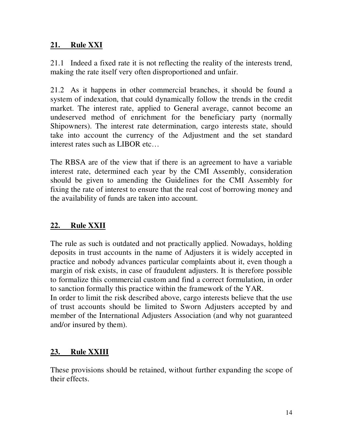## **21. Rule XXI**

21.1 Indeed a fixed rate it is not reflecting the reality of the interests trend, making the rate itself very often disproportioned and unfair.

21.2 As it happens in other commercial branches, it should be found a system of indexation, that could dynamically follow the trends in the credit market. The interest rate, applied to General average, cannot become an undeserved method of enrichment for the beneficiary party (normally Shipowners). The interest rate determination, cargo interests state, should take into account the currency of the Adjustment and the set standard interest rates such as LIBOR etc…

The RBSA are of the view that if there is an agreement to have a variable interest rate, determined each year by the CMI Assembly, consideration should be given to amending the Guidelines for the CMI Assembly for fixing the rate of interest to ensure that the real cost of borrowing money and the availability of funds are taken into account.

## **22. Rule XXII**

The rule as such is outdated and not practically applied. Nowadays, holding deposits in trust accounts in the name of Adjusters it is widely accepted in practice and nobody advances particular complaints about it, even though a margin of risk exists, in case of fraudulent adjusters. It is therefore possible to formalize this commercial custom and find a correct formulation, in order to sanction formally this practice within the framework of the YAR.

In order to limit the risk described above, cargo interests believe that the use of trust accounts should be limited to Sworn Adjusters accepted by and member of the International Adjusters Association (and why not guaranteed and/or insured by them).

## **23. Rule XXIII**

These provisions should be retained, without further expanding the scope of their effects.